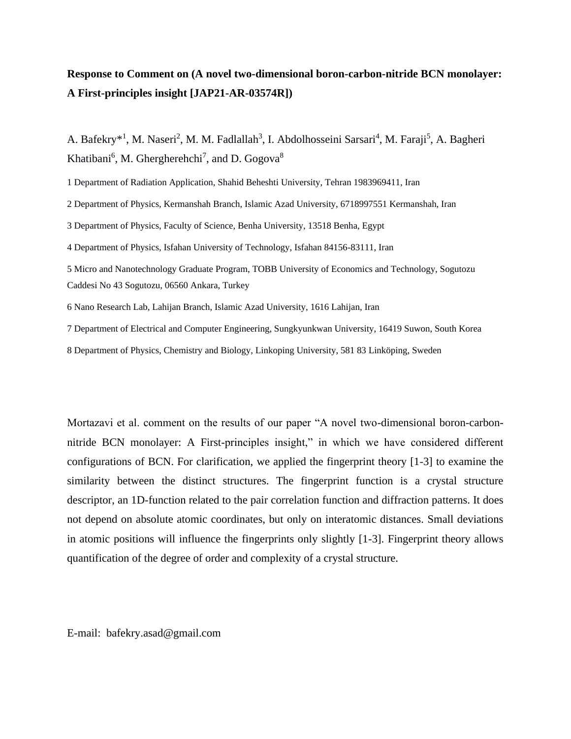## **Response to Comment on (A novel two-dimensional boron-carbon-nitride BCN monolayer: A First-principles insight [JAP21-AR-03574R])**

A. Bafekry<sup>\*1</sup>, M. Naseri<sup>2</sup>, M. M. Fadlallah<sup>3</sup>, I. Abdolhosseini Sarsari<sup>4</sup>, M. Faraji<sup>5</sup>, A. Bagheri Khatibani<sup>6</sup>, M. Ghergherehchi<sup>7</sup>, and D. Gogova<sup>8</sup>

1 Department of Radiation Application, Shahid Beheshti University, Tehran 1983969411, Iran

2 Department of Physics, Kermanshah Branch, Islamic Azad University, 6718997551 Kermanshah, Iran

3 Department of Physics, Faculty of Science, Benha University, 13518 Benha, Egypt

4 Department of Physics, Isfahan University of Technology, Isfahan 84156-83111, Iran

5 Micro and Nanotechnology Graduate Program, TOBB University of Economics and Technology, Sogutozu Caddesi No 43 Sogutozu, 06560 Ankara, Turkey

6 Nano Research Lab, Lahijan Branch, Islamic Azad University, 1616 Lahijan, Iran

7 Department of Electrical and Computer Engineering, Sungkyunkwan University, 16419 Suwon, South Korea

8 Department of Physics, Chemistry and Biology, Linkoping University, 581 83 Linköping, Sweden

Mortazavi et al. comment on the results of our paper "A novel two-dimensional boron-carbonnitride BCN monolayer: A First-principles insight," in which we have considered different configurations of BCN. For clarification, we applied the fingerprint theory [1-3] to examine the similarity between the distinct structures. The fingerprint function is a crystal structure descriptor, an 1D-function related to the pair correlation function and diffraction patterns. It does not depend on absolute atomic coordinates, but only on interatomic distances. Small deviations in atomic positions will influence the fingerprints only slightly [1-3]. Fingerprint theory allows quantification of the degree of order and complexity of a crystal structure.

E-mail: bafekry.asad@gmail.com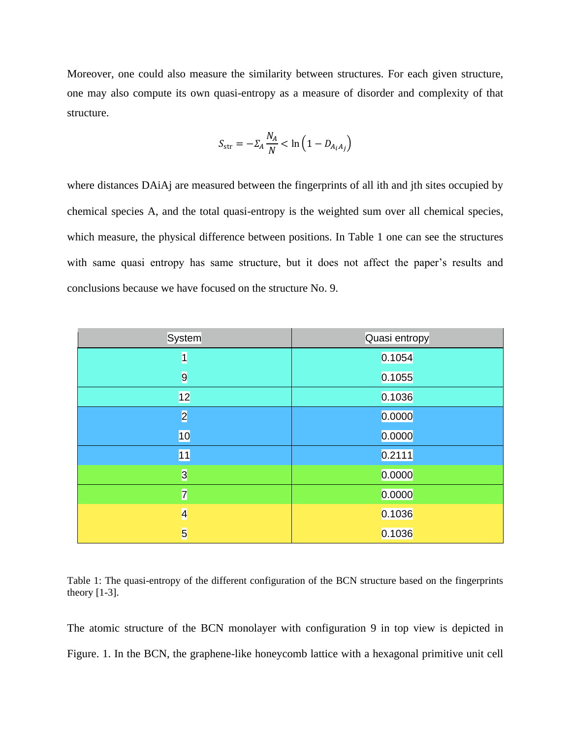Moreover, one could also measure the similarity between structures. For each given structure, one may also compute its own quasi-entropy as a measure of disorder and complexity of that structure.

$$
S_{\rm str} = -\Sigma_A \frac{N_A}{N} < \ln\left(1 - D_{A_i A_j}\right)
$$

where distances DAiAj are measured between the fingerprints of all ith and jth sites occupied by chemical species A, and the total quasi-entropy is the weighted sum over all chemical species, which measure, the physical difference between positions. In Table 1 one can see the structures with same quasi entropy has same structure, but it does not affect the paper's results and conclusions because we have focused on the structure No. 9.

| System         | Quasi entropy |
|----------------|---------------|
| $\vert$        | 0.1054        |
| $\overline{9}$ | 0.1055        |
| 12             | 0.1036        |
| $\overline{2}$ | 0.0000        |
| 10             | 0.0000        |
| 11             | 0.2111        |
| $\overline{3}$ | 0.0000        |
| $\overline{7}$ | 0.0000        |
| $\overline{4}$ | 0.1036        |
| $\overline{5}$ | 0.1036        |

Table 1: The quasi-entropy of the different configuration of the BCN structure based on the fingerprints theory [1-3].

The atomic structure of the BCN monolayer with configuration 9 in top view is depicted in Figure. 1. In the BCN, the graphene-like honeycomb lattice with a hexagonal primitive unit cell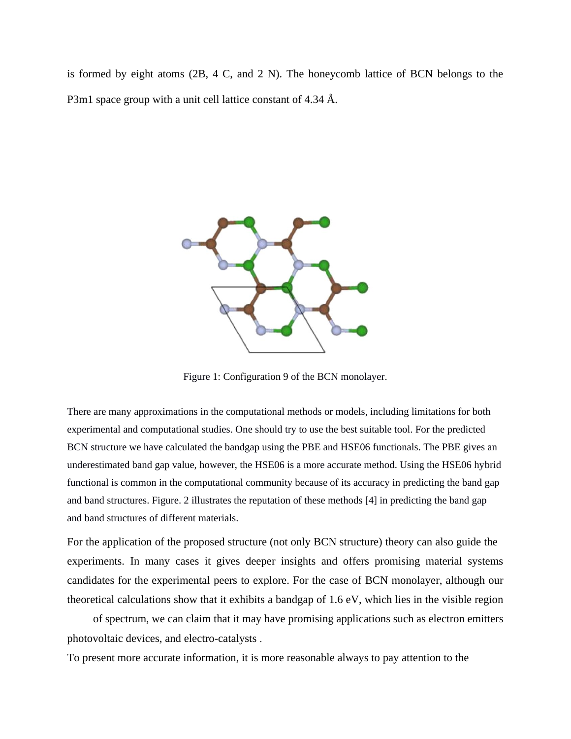is formed by eight atoms (2B, 4 C, and 2 N). The honeycomb lattice of BCN belongs to the P3m1 space group with a unit cell lattice constant of 4.34 Å.



Figure 1: Configuration 9 of the BCN monolayer.

There are many approximations in the computational methods or models, including limitations for both experimental and computational studies. One should try to use the best suitable tool. For the predicted BCN structure we have calculated the bandgap using the PBE and HSE06 functionals. The PBE gives an underestimated band gap value, however, the HSE06 is a more accurate method. Using the HSE06 hybrid functional is common in the computational community because of its accuracy in predicting the band gap and band structures. Figure. 2 illustrates the reputation of these methods [4] in predicting the band gap and band structures of different materials.

For the application of the proposed structure (not only BCN structure) theory can also guide the experiments. In many cases it gives deeper insights and offers promising material systems candidates for the experimental peers to explore. For the case of BCN monolayer, although our theoretical calculations show that it exhibits a bandgap of 1.6 eV, which lies in the visible region

of spectrum, we can claim that it may have promising applications such as electron emitters photovoltaic devices, and electro-catalysts .

To present more accurate information, it is more reasonable always to pay attention to the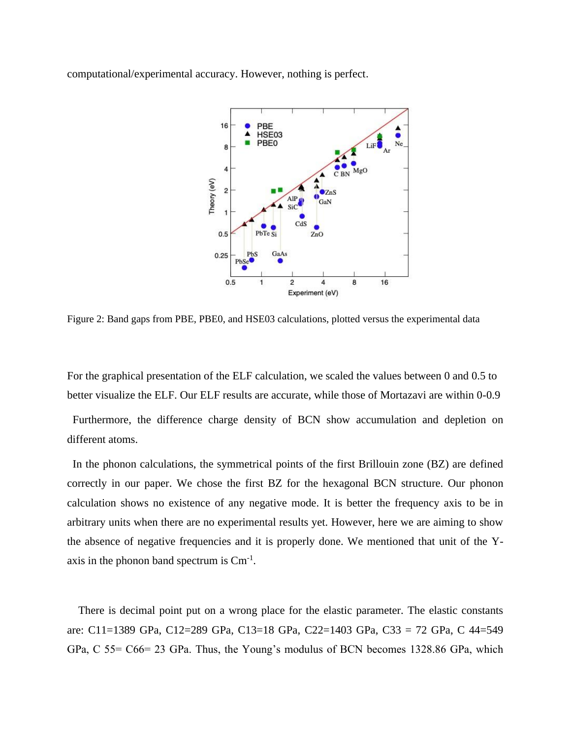computational/experimental accuracy. However, nothing is perfect.



Figure 2: Band gaps from PBE, PBE0, and HSE03 calculations, plotted versus the experimental data

 For the graphical presentation of the ELF calculation, we scaled the values between 0 and 0.5 to better visualize the ELF. Our ELF results are accurate, while those of Mortazavi are within 0-0.9

 Furthermore, the difference charge density of BCN show accumulation and depletion on different atoms.

 In the phonon calculations, the symmetrical points of the first Brillouin zone (BZ) are defined correctly in our paper. We chose the first BZ for the hexagonal BCN structure. Our phonon calculation shows no existence of any negative mode. It is better the frequency axis to be in arbitrary units when there are no experimental results yet. However, here we are aiming to show the absence of negative frequencies and it is properly done. We mentioned that unit of the Yaxis in the phonon band spectrum is  $\text{Cm}^{-1}$ .

 There is decimal point put on a wrong place for the elastic parameter. The elastic constants are: C11=1389 GPa, C12=289 GPa, C13=18 GPa, C22=1403 GPa, C33 = 72 GPa, C 44=549 GPa, C 55= C66= 23 GPa. Thus, the Young's modulus of BCN becomes 1328.86 GPa, which